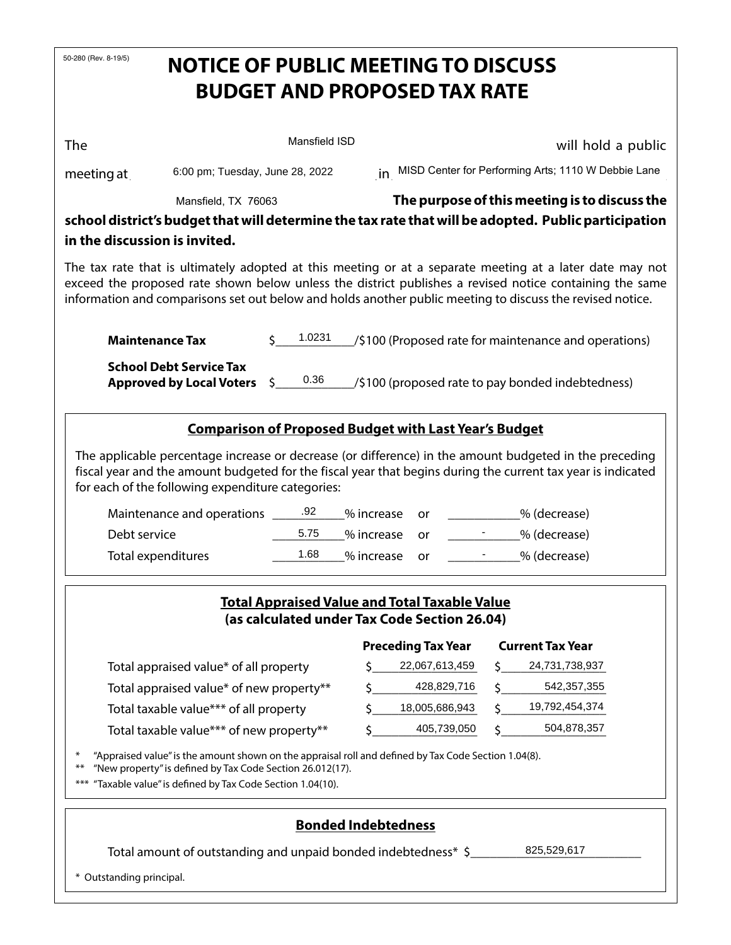| 50-280 (Rev. 8-19/5)<br><b>NOTICE OF PUBLIC MEETING TO DISCUSS</b>                                                                                                                                                                                                                                                               |                                                                       |             |                                                              |                                                        |  |  |  |  |  |
|----------------------------------------------------------------------------------------------------------------------------------------------------------------------------------------------------------------------------------------------------------------------------------------------------------------------------------|-----------------------------------------------------------------------|-------------|--------------------------------------------------------------|--------------------------------------------------------|--|--|--|--|--|
| <b>BUDGET AND PROPOSED TAX RATE</b>                                                                                                                                                                                                                                                                                              |                                                                       |             |                                                              |                                                        |  |  |  |  |  |
|                                                                                                                                                                                                                                                                                                                                  |                                                                       |             |                                                              |                                                        |  |  |  |  |  |
| The                                                                                                                                                                                                                                                                                                                              | Mansfield ISD                                                         |             | will hold a public                                           |                                                        |  |  |  |  |  |
| 6:00 pm; Tuesday, June 28, 2022<br>meeting at                                                                                                                                                                                                                                                                                    |                                                                       |             |                                                              | in MISD Center for Performing Arts; 1110 W Debbie Lane |  |  |  |  |  |
| Mansfield, TX 76063                                                                                                                                                                                                                                                                                                              | The purpose of this meeting is to discuss the                         |             |                                                              |                                                        |  |  |  |  |  |
| school district's budget that will determine the tax rate that will be adopted. Public participation                                                                                                                                                                                                                             |                                                                       |             |                                                              |                                                        |  |  |  |  |  |
| in the discussion is invited.                                                                                                                                                                                                                                                                                                    |                                                                       |             |                                                              |                                                        |  |  |  |  |  |
| The tax rate that is ultimately adopted at this meeting or at a separate meeting at a later date may not<br>exceed the proposed rate shown below unless the district publishes a revised notice containing the same<br>information and comparisons set out below and holds another public meeting to discuss the revised notice. |                                                                       |             |                                                              |                                                        |  |  |  |  |  |
| <b>Maintenance Tax</b>                                                                                                                                                                                                                                                                                                           | 1.0231<br>Ś.<br>/\$100 (Proposed rate for maintenance and operations) |             |                                                              |                                                        |  |  |  |  |  |
| <b>School Debt Service Tax</b><br><b>Approved by Local Voters</b>                                                                                                                                                                                                                                                                | 0.36<br>\$.                                                           |             | /\$100 (proposed rate to pay bonded indebtedness)            |                                                        |  |  |  |  |  |
|                                                                                                                                                                                                                                                                                                                                  |                                                                       |             | <b>Comparison of Proposed Budget with Last Year's Budget</b> |                                                        |  |  |  |  |  |
| The applicable percentage increase or decrease (or difference) in the amount budgeted in the preceding<br>fiscal year and the amount budgeted for the fiscal year that begins during the current tax year is indicated<br>for each of the following expenditure categories:                                                      |                                                                       |             |                                                              |                                                        |  |  |  |  |  |
| Maintenance and operations ______.92                                                                                                                                                                                                                                                                                             |                                                                       | % increase  | or                                                           | % (decrease)                                           |  |  |  |  |  |
| Debt service                                                                                                                                                                                                                                                                                                                     | 5.75                                                                  |             |                                                              | % (decrease)<br>% increase<br>or                       |  |  |  |  |  |
| Total expenditures                                                                                                                                                                                                                                                                                                               | 1.68                                                                  | % increase  | or                                                           | _% (decrease)                                          |  |  |  |  |  |
| <b>Total Appraised Value and Total Taxable Value</b>                                                                                                                                                                                                                                                                             |                                                                       |             |                                                              |                                                        |  |  |  |  |  |
|                                                                                                                                                                                                                                                                                                                                  |                                                                       |             | (as calculated under Tax Code Section 26.04)                 |                                                        |  |  |  |  |  |
|                                                                                                                                                                                                                                                                                                                                  |                                                                       |             | <b>Preceding Tax Year</b>                                    | <b>Current Tax Year</b>                                |  |  |  |  |  |
| Total appraised value* of all property                                                                                                                                                                                                                                                                                           |                                                                       | \$          | 22,067,613,459                                               | 24,731,738,937<br>Ś.                                   |  |  |  |  |  |
| Total appraised value* of new property**                                                                                                                                                                                                                                                                                         | Ś                                                                     | 428,829,716 | 542,357,355                                                  |                                                        |  |  |  |  |  |
| Total taxable value*** of all property                                                                                                                                                                                                                                                                                           |                                                                       | Ś           | 18,005,686,943                                               | 19,792,454,374<br>\$                                   |  |  |  |  |  |
| Total taxable value*** of new property**                                                                                                                                                                                                                                                                                         |                                                                       | Ś           | 405,739,050                                                  | 504,878,357                                            |  |  |  |  |  |
| "Appraised value" is the amount shown on the appraisal roll and defined by Tax Code Section 1.04(8).<br>"New property" is defined by Tax Code Section 26.012(17).<br>$***$<br>"Taxable value" is defined by Tax Code Section 1.04(10).<br>$***$                                                                                  |                                                                       |             |                                                              |                                                        |  |  |  |  |  |
| <b>Bonded Indebtedness</b>                                                                                                                                                                                                                                                                                                       |                                                                       |             |                                                              |                                                        |  |  |  |  |  |
| 825,529,617<br>Total amount of outstanding and unpaid bonded indebtedness* \$                                                                                                                                                                                                                                                    |                                                                       |             |                                                              |                                                        |  |  |  |  |  |
| * Outstanding principal.                                                                                                                                                                                                                                                                                                         |                                                                       |             |                                                              |                                                        |  |  |  |  |  |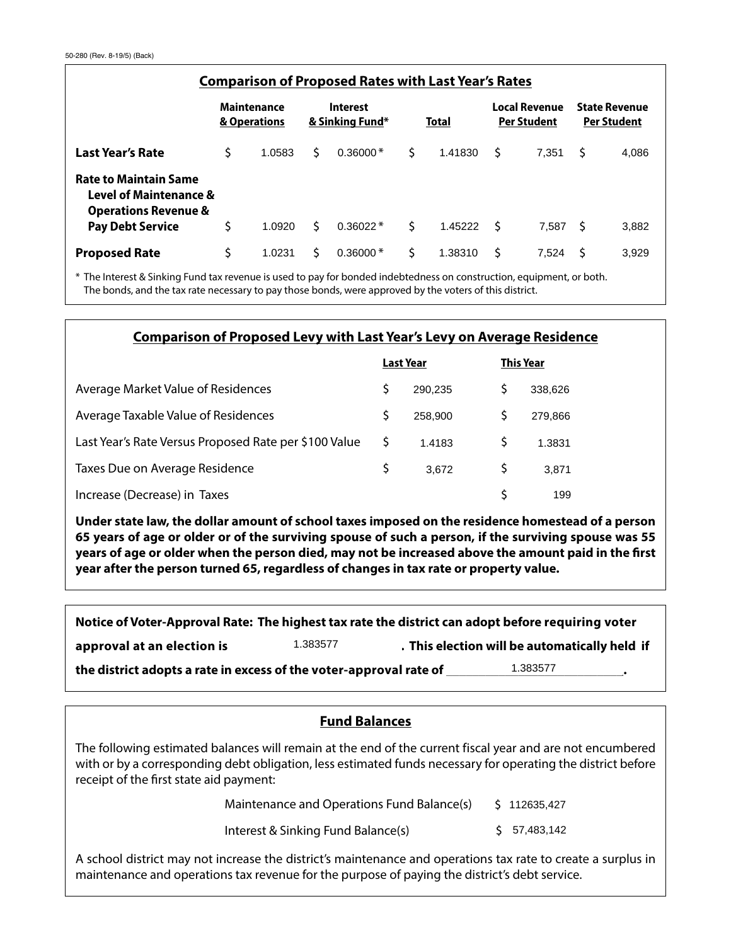| <b>Comparison of Proposed Rates with Last Year's Rates</b>                                           |                                    |        |                             |            |              |         |                                            |       |                                            |       |
|------------------------------------------------------------------------------------------------------|------------------------------------|--------|-----------------------------|------------|--------------|---------|--------------------------------------------|-------|--------------------------------------------|-------|
|                                                                                                      | <b>Maintenance</b><br>& Operations |        | Interest<br>& Sinking Fund* |            | <b>Total</b> |         | <b>Local Revenue</b><br><b>Per Student</b> |       | <b>State Revenue</b><br><b>Per Student</b> |       |
| <b>Last Year's Rate</b>                                                                              | Ś                                  | 1.0583 | S.                          | $0.36000*$ | Ś            | 1.41830 | S                                          | 7.351 | Ś                                          | 4,086 |
| <b>Rate to Maintain Same</b><br><b>Level of Maintenance &amp;</b><br><b>Operations Revenue &amp;</b> |                                    |        |                             |            |              |         |                                            |       |                                            |       |
| <b>Pay Debt Service</b>                                                                              | \$                                 | 1.0920 | Ŝ.                          | $0.36022*$ | Ś            | 1.45222 | - S                                        | 7.587 | - S                                        | 3,882 |
| <b>Proposed Rate</b>                                                                                 | \$                                 | 1.0231 | Ŝ.                          | $0.36000*$ | Ś            | 1.38310 | \$                                         | 7.524 | S                                          | 3,929 |

\* The Interest & Sinking Fund tax revenue is used to pay for bonded indebtedness on construction, equipment, or both. The bonds, and the tax rate necessary to pay those bonds, were approved by the voters of this district.

## **Comparison of Proposed Levy with Last Year's Levy on Average Residence**

|                                                       |   | Last Year | <b>This Year</b> |  |
|-------------------------------------------------------|---|-----------|------------------|--|
| Average Market Value of Residences                    |   | 290.235   | 338,626          |  |
| Average Taxable Value of Residences                   |   | 258,900   | 279.866          |  |
| Last Year's Rate Versus Proposed Rate per \$100 Value |   | 1.4183    | 1.3831           |  |
| Taxes Due on Average Residence                        | S | 3.672     | 3.871            |  |
| Increase (Decrease) in Taxes                          |   |           | 199              |  |

**Under state law, the dollar amount of school taxes imposed on the residence homestead of a person 65 years of age or older or of the surviving spouse of such a person, if the surviving spouse was 55 years of age or older when the person died, may not be increased above the amount paid in the first year after the person turned 65, regardless of changes in tax rate or property value.**

approval at an election is **the action is the state)** and the automatically held if *(school voter-approval rate)* 1.383577 **Notice of Voter-Approval Rate: The highest tax rate the district can adopt before requiring voter**  the district adopts a rate in excess of the voter-approval rate of **the district adopts** a rate in excess of the voter-approval rate of

## **Fund Balances**

The following estimated balances will remain at the end of the current fiscal year and are not encumbered with or by a corresponding debt obligation, less estimated funds necessary for operating the district before receipt of the first state aid payment:

> Maintenance and Operations Fund Balance(s) \$ 112635,427

Interest & Sinking Fund Balance(s) \$

57,483,142

A school district may not increase the district's maintenance and operations tax rate to create a surplus in maintenance and operations tax revenue for the purpose of paying the district's debt service.